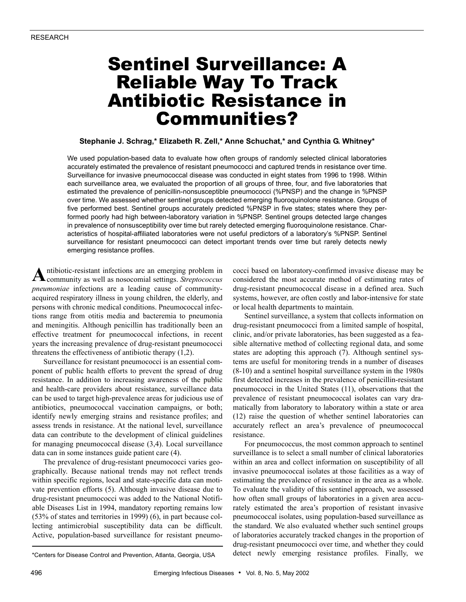# Sentinel Surveillance: A Reliable Way To Track Antibiotic Resistance in Communities?

# **Stephanie J. Schrag,\* Elizabeth R. Zell,\* Anne Schuchat,\* and Cynthia G. Whitney\***

We used population-based data to evaluate how often groups of randomly selected clinical laboratories accurately estimated the prevalence of resistant pneumococci and captured trends in resistance over time. Surveillance for invasive pneumococcal disease was conducted in eight states from 1996 to 1998. Within each surveillance area, we evaluated the proportion of all groups of three, four, and five laboratories that estimated the prevalence of penicillin-nonsusceptible pneumococci (%PNSP) and the change in %PNSP over time. We assessed whether sentinel groups detected emerging fluoroquinolone resistance. Groups of five performed best. Sentinel groups accurately predicted %PNSP in five states; states where they performed poorly had high between-laboratory variation in %PNSP. Sentinel groups detected large changes in prevalence of nonsusceptibility over time but rarely detected emerging fluoroquinolone resistance. Characteristics of hospital-affiliated laboratories were not useful predictors of a laboratory's %PNSP. Sentinel surveillance for resistant pneumococci can detect important trends over time but rarely detects newly emerging resistance profiles.

ntibiotic-resistant infections are an emerging problem in community as well as nosocomial settings. *Streptococcus pneumoniae* infections are a leading cause of communityacquired respiratory illness in young children, the elderly, and persons with chronic medical conditions. Pneumococcal infections range from otitis media and bacteremia to pneumonia and meningitis. Although penicillin has traditionally been an effective treatment for pneumococcal infections, in recent years the increasing prevalence of drug-resistant pneumococci threatens the effectiveness of antibiotic therapy (1,2). **A**

Surveillance for resistant pneumococci is an essential component of public health efforts to prevent the spread of drug resistance. In addition to increasing awareness of the public and health-care providers about resistance, surveillance data can be used to target high-prevalence areas for judicious use of antibiotics, pneumococcal vaccination campaigns, or both; identify newly emerging strains and resistance profiles; and assess trends in resistance. At the national level, surveillance data can contribute to the development of clinical guidelines for managing pneumococcal disease (3,4). Local surveillance data can in some instances guide patient care (4).

The prevalence of drug-resistant pneumococci varies geographically. Because national trends may not reflect trends within specific regions, local and state-specific data can motivate prevention efforts (5). Although invasive disease due to drug-resistant pneumococci was added to the National Notifiable Diseases List in 1994, mandatory reporting remains low (53% of states and territories in 1999) (6), in part because collecting antimicrobial susceptibility data can be difficult. Active, population-based surveillance for resistant pneumococci based on laboratory-confirmed invasive disease may be considered the most accurate method of estimating rates of drug-resistant pneumococcal disease in a defined area. Such systems, however, are often costly and labor-intensive for state or local health departments to maintain.

Sentinel surveillance, a system that collects information on drug-resistant pneumococci from a limited sample of hospital, clinic, and/or private laboratories, has been suggested as a feasible alternative method of collecting regional data, and some states are adopting this approach (7). Although sentinel systems are useful for monitoring trends in a number of diseases (8-10) and a sentinel hospital surveillance system in the 1980s first detected increases in the prevalence of penicillin-resistant pneumococci in the United States (11), observations that the prevalence of resistant pneumococcal isolates can vary dramatically from laboratory to laboratory within a state or area (12) raise the question of whether sentinel laboratories can accurately reflect an area's prevalence of pneumococcal resistance.

For pneumococcus, the most common approach to sentinel surveillance is to select a small number of clinical laboratories within an area and collect information on susceptibility of all invasive pneumococcal isolates at those facilities as a way of estimating the prevalence of resistance in the area as a whole. To evaluate the validity of this sentinel approach, we assessed how often small groups of laboratories in a given area accurately estimated the area's proportion of resistant invasive pneumococcal isolates, using population-based surveillance as the standard. We also evaluated whether such sentinel groups of laboratories accurately tracked changes in the proportion of drug-resistant pneumococci over time, and whether they could \*Centers for Disease Control and Prevention, Atlanta, Georgia, USA detect newly emerging resistance profiles. Finally, we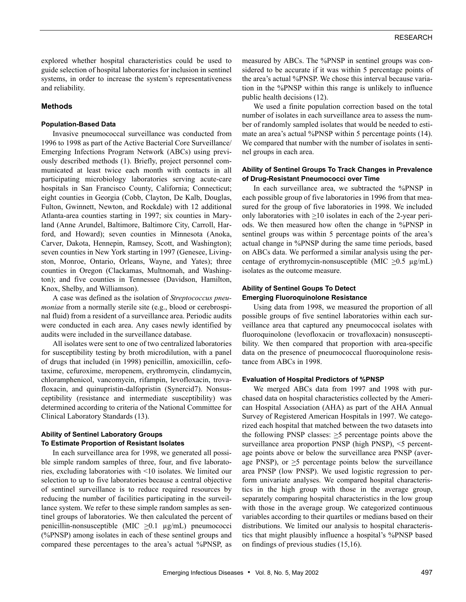explored whether hospital characteristics could be used to guide selection of hospital laboratories for inclusion in sentinel systems, in order to increase the system's representativeness and reliability.

### **Methods**

#### **Population-Based Data**

Invasive pneumococcal surveillance was conducted from 1996 to 1998 as part of the Active Bacterial Core Surveillance/ Emerging Infections Program Network (ABCs) using previously described methods (1). Briefly, project personnel communicated at least twice each month with contacts in all participating microbiology laboratories serving acute-care hospitals in San Francisco County, California; Connecticut; eight counties in Georgia (Cobb, Clayton, De Kalb, Douglas, Fulton, Gwinnett, Newton, and Rockdale) with 12 additional Atlanta-area counties starting in 1997; six counties in Maryland (Anne Arundel, Baltimore, Baltimore City, Carroll, Harford, and Howard); seven counties in Minnesota (Anoka, Carver, Dakota, Hennepin, Ramsey, Scott, and Washington); seven counties in New York starting in 1997 (Genesee, Livingston, Monroe, Ontario, Orleans, Wayne, and Yates); three counties in Oregon (Clackamas, Multnomah, and Washington); and five counties in Tennessee (Davidson, Hamilton, Knox, Shelby, and Williamson).

A case was defined as the isolation of *Streptococcus pneumoniae* from a normally sterile site (e.g., blood or cerebrospinal fluid) from a resident of a surveillance area. Periodic audits were conducted in each area. Any cases newly identified by audits were included in the surveillance database.

All isolates were sent to one of two centralized laboratories for susceptibility testing by broth microdilution, with a panel of drugs that included (in 1998) penicillin, amoxicillin, cefotaxime, cefuroxime, meropenem, erythromycin, clindamycin, chloramphenicol, vancomycin, rifampin, levofloxacin, trovafloxacin, and quinupristin-dalfopristin (Synercid7). Nonsusceptibility (resistance and intermediate susceptibility) was determined according to criteria of the National Committee for Clinical Laboratory Standards (13).

# **Ability of Sentinel Laboratory Groups To Estimate Proportion of Resistant Isolates**

In each surveillance area for 1998, we generated all possible simple random samples of three, four, and five laboratories, excluding laboratories with <10 isolates. We limited our selection to up to five laboratories because a central objective of sentinel surveillance is to reduce required resources by reducing the number of facilities participating in the surveillance system. We refer to these simple random samples as sentinel groups of laboratories. We then calculated the percent of penicillin-nonsusceptible (MIC  $\geq 0.1$  µg/mL) pneumococci (%PNSP) among isolates in each of these sentinel groups and compared these percentages to the area's actual %PNSP, as measured by ABCs. The %PNSP in sentinel groups was considered to be accurate if it was within 5 percentage points of the area's actual %PNSP. We chose this interval because variation in the %PNSP within this range is unlikely to influence public health decisions (12).

We used a finite population correction based on the total number of isolates in each surveillance area to assess the number of randomly sampled isolates that would be needed to estimate an area's actual %PNSP within 5 percentage points (14). We compared that number with the number of isolates in sentinel groups in each area.

### **Ability of Sentinel Groups To Track Changes in Prevalence of Drug-Resistant Pneumococci over Time**

In each surveillance area, we subtracted the %PNSP in each possible group of five laboratories in 1996 from that measured for the group of five laboratories in 1998. We included only laboratories with >10 isolates in each of the 2-year periods. We then measured how often the change in %PNSP in sentinel groups was within 5 percentage points of the area's actual change in %PNSP during the same time periods, based on ABCs data. We performed a similar analysis using the percentage of erythromycin-nonsusceptible (MIC  $>0.5 \mu g/mL$ ) isolates as the outcome measure.

# **Ability of Sentinel Goups To Detect Emerging Fluoroquinolone Resistance**

Using data from 1998, we measured the proportion of all possible groups of five sentinel laboratories within each surveillance area that captured any pneumococcal isolates with fluoroquinolone (levofloxacin or trovafloxacin) nonsusceptibility. We then compared that proportion with area-specific data on the presence of pneumococcal fluoroquinolone resistance from ABCs in 1998.

#### **Evaluation of Hospital Predictors of %PNSP**

We merged ABCs data from 1997 and 1998 with purchased data on hospital characteristics collected by the American Hospital Association (AHA) as part of the AHA Annual Survey of Registered American Hospitals in 1997. We categorized each hospital that matched between the two datasets into the following PNSP classes:  $\geq$ 5 percentage points above the surveillance area proportion PNSP (high PNSP), <5 percentage points above or below the surveillance area PNSP (average PNSP), or >5 percentage points below the surveillance area PNSP (low PNSP). We used logistic regression to perform univariate analyses. We compared hospital characteristics in the high group with those in the average group, separately comparing hospital characteristics in the low group with those in the average group. We categorized continuous variables according to their quartiles or medians based on their distributions. We limited our analysis to hospital characteristics that might plausibly influence a hospital's %PNSP based on findings of previous studies (15,16).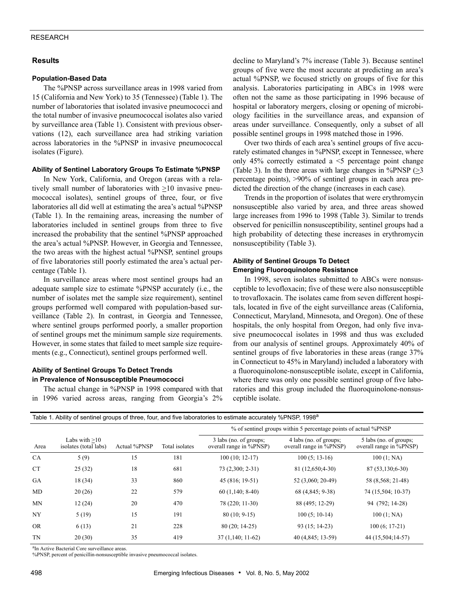## **Results**

#### **Population-Based Data**

The %PNSP across surveillance areas in 1998 varied from 15 (California and New York) to 35 (Tennessee) (Table 1). The number of laboratories that isolated invasive pneumococci and the total number of invasive pneumococcal isolates also varied by surveillance area (Table 1). Consistent with previous observations (12), each surveillance area had striking variation across laboratories in the %PNSP in invasive pneumococcal isolates (Figure).

#### **Ability of Sentinel Laboratory Groups To Estimate %PNSP**

In New York, California, and Oregon (areas with a relatively small number of laboratories with >10 invasive pneumococcal isolates), sentinel groups of three, four, or five laboratories all did well at estimating the area's actual %PNSP (Table 1). In the remaining areas, increasing the number of laboratories included in sentinel groups from three to five increased the probability that the sentinel %PNSP approached the area's actual %PNSP. However, in Georgia and Tennessee, the two areas with the highest actual %PNSP, sentinel groups of five laboratories still poorly estimated the area's actual percentage (Table 1).

In surveillance areas where most sentinel groups had an adequate sample size to estimate %PNSP accurately (i.e., the number of isolates met the sample size requirement), sentinel groups performed well compared with population-based surveillance (Table 2). In contrast, in Georgia and Tennessee, where sentinel groups performed poorly, a smaller proportion of sentinel groups met the minimum sample size requirements. However, in some states that failed to meet sample size requirements (e.g., Connecticut), sentinel groups performed well.

# **Ability of Sentinel Groups To Detect Trends in Prevalence of Nonsusceptible Pneumococci**

The actual change in %PNSP in 1998 compared with that in 1996 varied across areas, ranging from Georgia's 2% decline to Maryland's 7% increase (Table 3). Because sentinel groups of five were the most accurate at predicting an area's actual %PNSP, we focused strictly on groups of five for this analysis. Laboratories participating in ABCs in 1998 were often not the same as those participating in 1996 because of hospital or laboratory mergers, closing or opening of microbiology facilities in the surveillance areas, and expansion of areas under surveillance. Consequently, only a subset of all possible sentinel groups in 1998 matched those in 1996.

Over two thirds of each area's sentinel groups of five accurately estimated changes in %PNSP, except in Tennessee, where only 45% correctly estimated a  $\leq$ 5 percentage point change (Table 3). In the three areas with large changes in  $\%$ PNSP ( $>$ 3) percentage points), >90% of sentinel groups in each area predicted the direction of the change (increases in each case).

Trends in the proportion of isolates that were erythromycin nonsusceptible also varied by area, and three areas showed large increases from 1996 to 1998 (Table 3). Similar to trends observed for penicillin nonsusceptibility, sentinel groups had a high probability of detecting these increases in erythromycin nonsusceptibility (Table 3).

## **Ability of Sentinel Groups To Detect Emerging Fluoroquinolone Resistance**

In 1998, seven isolates submitted to ABCs were nonsusceptible to levofloxacin; five of these were also nonsusceptible to trovafloxacin. The isolates came from seven different hospitals, located in five of the eight surveillance areas (California, Connecticut, Maryland, Minnesota, and Oregon). One of these hospitals, the only hospital from Oregon, had only five invasive pneumococcal isolates in 1998 and thus was excluded from our analysis of sentinel groups. Approximately 40% of sentinel groups of five laboratories in these areas (range 37% in Connecticut to 45% in Maryland) included a laboratory with a fluoroquinolone-nonsusceptible isolate, except in California, where there was only one possible sentinel group of five laboratories and this group included the fluoroquinolone-nonsusceptible isolate.

| Table 1. Ability of sentinel groups of three, four, and five laboratories to estimate accurately %PNSP, 1998 <sup>a</sup> |                                          |              |                |                                                                 |                                                   |                                                   |  |
|---------------------------------------------------------------------------------------------------------------------------|------------------------------------------|--------------|----------------|-----------------------------------------------------------------|---------------------------------------------------|---------------------------------------------------|--|
|                                                                                                                           |                                          |              |                | % of sentinel groups within 5 percentage points of actual %PNSP |                                                   |                                                   |  |
| Area                                                                                                                      | Labs with $>10$<br>isolates (total labs) | Actual %PNSP | Total isolates | 3 labs (no. of groups;<br>overall range in %PNSP)               | 4 labs (no. of groups;<br>overall range in %PNSP) | 5 labs (no. of groups;<br>overall range in %PNSP) |  |
| CA                                                                                                                        | 5(9)                                     | 15           | 181            | $100(10; 12-17)$                                                | $100(5; 13-16)$                                   | 100(1; NA)                                        |  |
| <b>CT</b>                                                                                                                 | 25(32)                                   | 18           | 681            | 73 (2,300; 2-31)                                                | 81 (12,650;4-30)                                  | 87 (53,130;6-30)                                  |  |
| <b>GA</b>                                                                                                                 | 18(34)                                   | 33           | 860            | 45 (816; 19-51)                                                 | 52 (3,060; 20-49)                                 | 58 (8,568; 21-48)                                 |  |
| MD                                                                                                                        | 20(26)                                   | 22           | 579            | $60(1,140; 8-40)$                                               | 68 (4,845; 9-38)                                  | 74 (15,504; 10-37)                                |  |
| <b>MN</b>                                                                                                                 | 12(24)                                   | 20           | 470            | 78 (220; 11-30)                                                 | 88 (495; 12-29)                                   | 94 (792; 14-28)                                   |  |
| <b>NY</b>                                                                                                                 | 5(19)                                    | 15           | 191            | $80(10; 9-15)$                                                  | $100(5; 10-14)$                                   | 100(1; NA)                                        |  |
| <b>OR</b>                                                                                                                 | 6(13)                                    | 21           | 228            | $80(20; 14-25)$                                                 | 93 (15; 14-23)                                    | $100(6; 17-21)$                                   |  |
| TN                                                                                                                        | 20(30)                                   | 35           | 419            | 37 (1,140; 11-62)                                               | 40 (4,845; 13-59)                                 | 44 (15,504;14-57)                                 |  |

<sup>a</sup>In Active Bacterial Core surveillance areas.

%PNSP, percent of penicillin-nonsusceptible invasive pneumococcal isolates.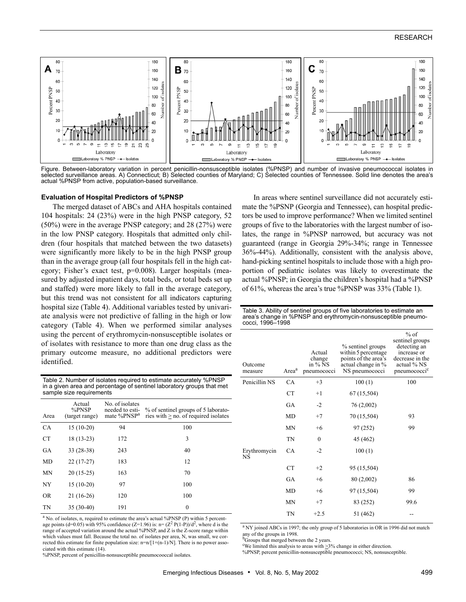$%$  of



Figure. Between-laboratory variation in percent penicillin-nonsusceptible isolates (%PNSP) and number of invasive pneumococcal isolates in selected surveillance areas. A) Connecticut; B) Selected counties of Maryland; C) Selected counties of Tennessee. Solid line denotes the area's actual %PNSP from active, population-based surveillance.

#### **Evaluation of Hospital Predictors of %PNSP**

The merged dataset of ABCs and AHA hospitals contained 104 hospitals: 24 (23%) were in the high PNSP category, 52 (50%) were in the average PNSP category; and 28 (27%) were in the low PNSP category. Hospitals that admitted only children (four hospitals that matched between the two datasets) were significantly more likely to be in the high PNSP group than in the average group (all four hospitals fell in the high category; Fisher's exact test, p=0.008). Larger hospitals (measured by adjusted inpatient days, total beds, or total beds set up and staffed) were more likely to fall in the average category, but this trend was not consistent for all indicators capturing hospital size (Table 4). Additional variables tested by univariate analysis were not predictive of falling in the high or low category (Table 4). When we performed similar analyses using the percent of erythromycin-nonsusceptible isolates or of isolates with resistance to more than one drug class as the primary outcome measure, no additional predictors were identified.

In areas where sentinel surveillance did not accurately estimate the %PSNP (Georgia and Tennessee), can hospital predictors be used to improve performance? When we limited sentinel groups of five to the laboratories with the largest number of isolates, the range in %PNSP narrowed, but accuracy was not guaranteed (range in Georgia 29%-34%; range in Tennessee 36%-44%). Additionally, consistent with the analysis above, hand-picking sentinel hospitals to include those with a high proportion of pediatric isolates was likely to overestimate the actual %PNSP; in Georgia the children's hospital had a %PNSP of 61%, whereas the area's true %PNSP was 33% (Table 1).

Table 3. Ability of sentinel groups of five laboratories to estimate an area's change in %PNSP and erythromycin-nonsusceptible pneumococci, 1996–1998

| Table 2. Number of isolates required to estimate accurately %PNSP     |
|-----------------------------------------------------------------------|
| in a given area and percentage of sentinel laboratory groups that met |
| sample size requirements                                              |

| Area      | Actual<br>%PNSP<br>(target range) | No. of isolates<br>needed to esti-<br>mate %PNSP <sup>a</sup> | % of sentinel groups of 5 laborato-<br>ries with $\geq$ no. of required isolates |
|-----------|-----------------------------------|---------------------------------------------------------------|----------------------------------------------------------------------------------|
| CA        | $15(10-20)$                       | 94                                                            | 100                                                                              |
| <b>CT</b> | $18(13-23)$                       | 172                                                           | 3                                                                                |
| GA        | $33(28-38)$                       | 243                                                           | 40                                                                               |
| <b>MD</b> | $22(17-27)$                       | 183                                                           | 12                                                                               |
| <b>MN</b> | $20(15-25)$                       | 163                                                           | 70                                                                               |
| NY        | $15(10-20)$                       | 97                                                            | 100                                                                              |
| <b>OR</b> | $21(16-26)$                       | 120                                                           | 100                                                                              |
| TN        | $35(30-40)$                       | 191                                                           | 0                                                                                |

| Outcome<br>measure | Area <sup>a</sup> | Actual<br>change<br>in % NS<br>pneumococci | % sentinel groups<br>within 5 percentage<br>points of the area's<br>actual change in %<br>NS pneumococci | sentinel groups<br>detecting an<br>increase or<br>decrease in the<br>actual % NS<br>pneumococci <sup>c</sup> |
|--------------------|-------------------|--------------------------------------------|----------------------------------------------------------------------------------------------------------|--------------------------------------------------------------------------------------------------------------|
| Penicillin NS      | <b>CA</b>         | $+3$                                       | 100(1)                                                                                                   | 100                                                                                                          |
|                    | <b>CT</b>         | $+1$                                       | 67 (15,504)                                                                                              |                                                                                                              |
|                    | GA                | $-2$                                       | 76 (2,002)                                                                                               |                                                                                                              |
|                    | <b>MD</b>         | $+7$                                       | 70 (15,504)                                                                                              | 93                                                                                                           |
|                    | <b>MN</b>         | $+6$                                       | 97 (252)                                                                                                 | 99                                                                                                           |
|                    | TN                | $\mathbf{0}$                               | 45 (462)                                                                                                 |                                                                                                              |
| Erythromycin<br>NŚ | <b>CA</b>         | $-2$                                       | 100(1)                                                                                                   |                                                                                                              |
|                    | <b>CT</b>         | $+2$                                       | 95 (15,504)                                                                                              |                                                                                                              |
|                    | GA                | $+6$                                       | 80 (2,002)                                                                                               | 86                                                                                                           |
|                    | <b>MD</b>         | $+6$                                       | 97 (15,504)                                                                                              | 99                                                                                                           |
|                    | <b>MN</b>         | $+7$                                       | 83 (252)                                                                                                 | 99.6                                                                                                         |
|                    | TN                | $+2.5$                                     | 51 (462)                                                                                                 |                                                                                                              |
|                    |                   |                                            |                                                                                                          |                                                                                                              |

<sup>a</sup> No. of isolates, n, required to estimate the area's actual %PNSP (P) within 5 percentage points (d=0.05) with 95% confidence (Z=1.96) is:  $n = (Z^2 P(1-P))/d^2$ , where d is the range of accepted variation around the actual %PNSP, and Z is the Z-score range within which values must fall. Because the total no. of isolates per area, N, was small, we corrected this estimate for finite population size:  $n=n/[1+(n-1)/N]$ . There is no power associated with this estimate (14).

<sup>a</sup> NY joined ABCs in 1997; the only group of 5 laboratories in OR in 1996 did not match any of the groups in 1998.

<sup>b</sup>Groups that merged between the 2 years.

<sup>c</sup>We limited this analysis to areas with  $\geq$ 3% change in either direction.

%PNSP, percent of penicillin-nonsusceptible pneumocooccal isolates.

%PNSP, percent penicillin-nonsusceptible pneumococci; NS, nonsusceptible.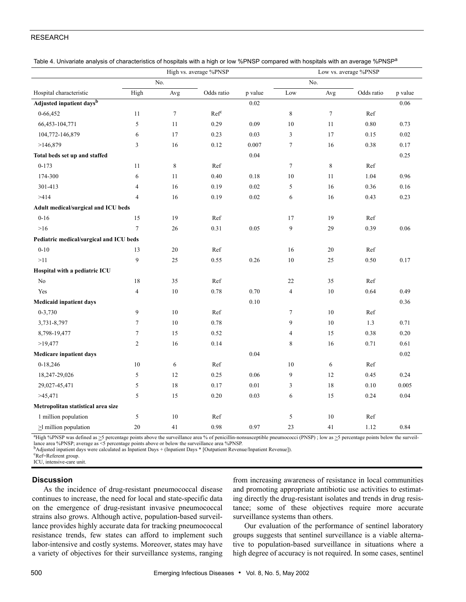|                                         |                  | High vs. average %PNSP |                  |         | Low vs. average %PNSP |                  |            |          |
|-----------------------------------------|------------------|------------------------|------------------|---------|-----------------------|------------------|------------|----------|
|                                         | No.              |                        |                  |         |                       | No.              |            |          |
| Hospital characteristic                 | High             | Avg                    | Odds ratio       | p value | Low                   | Avg              | Odds ratio | p value  |
| Adjusted inpatient days <sup>b</sup>    |                  |                        |                  | 0.02    |                       |                  |            | 0.06     |
| 0-66,452                                | 11               | $\boldsymbol{7}$       | Ref <sup>c</sup> |         | 8                     | $\boldsymbol{7}$ | Ref        |          |
| 66,453-104,771                          | 5                | 11                     | 0.29             | 0.09    | 10                    | 11               | 0.80       | 0.73     |
| 104,772-146,879                         | 6                | 17                     | 0.23             | 0.03    | 3                     | 17               | 0.15       | 0.02     |
| >146,879                                | $\mathfrak{Z}$   | 16                     | 0.12             | 0.007   | $\tau$                | 16               | 0.38       | 0.17     |
| Total beds set up and staffed           |                  |                        |                  | 0.04    |                       |                  |            | 0.25     |
| $0 - 173$                               | 11               | 8                      | Ref              |         | $\tau$                | $\,$ 8 $\,$      | Ref        |          |
| 174-300                                 | 6                | 11                     | 0.40             | 0.18    | 10                    | 11               | 1.04       | 0.96     |
| 301-413                                 | $\overline{4}$   | 16                     | 0.19             | 0.02    | 5                     | 16               | 0.36       | 0.16     |
| >414                                    | $\overline{4}$   | 16                     | 0.19             | 0.02    | 6                     | 16               | 0.43       | 0.23     |
| Adult medical/surgical and ICU beds     |                  |                        |                  |         |                       |                  |            |          |
| $0 - 16$                                | 15               | 19                     | Ref              |         | 17                    | 19               | Ref        |          |
| $>16$                                   | $\boldsymbol{7}$ | 26                     | 0.31             | 0.05    | 9                     | 29               | 0.39       | 0.06     |
| Pediatric medical/surgical and ICU beds |                  |                        |                  |         |                       |                  |            |          |
| $0 - 10$                                | 13               | 20                     | Ref              |         | 16                    | 20               | Ref        |          |
| >11                                     | 9                | 25                     | 0.55             | 0.26    | $10\,$                | 25               | 0.50       | 0.17     |
| Hospital with a pediatric ICU           |                  |                        |                  |         |                       |                  |            |          |
| No                                      | 18               | 35                     | Ref              |         | 22                    | 35               | Ref        |          |
| Yes                                     | $\overline{4}$   | 10                     | 0.78             | 0.70    | $\overline{4}$        | $10\,$           | 0.64       | 0.49     |
| <b>Medicaid inpatient days</b>          |                  |                        |                  | 0.10    |                       |                  |            | 0.36     |
| $0 - 3,730$                             | 9                | 10                     | Ref              |         | $\tau$                | 10               | Ref        |          |
| 3,731-8,797                             | $\tau$           | 10                     | 0.78             |         | 9                     | 10               | 1.3        | 0.71     |
| 8,798-19,477                            | $\tau$           | 15                     | 0.52             |         | $\overline{4}$        | 15               | 0.38       | $0.20\,$ |
| >19,477                                 | $\overline{2}$   | 16                     | 0.14             |         | 8                     | 16               | 0.71       | 0.61     |
| <b>Medicare inpatient days</b>          |                  |                        |                  | 0.04    |                       |                  |            | $0.02\,$ |
| $0-18,246$                              | 10               | 6                      | Ref              |         | 10                    | 6                | Ref        |          |
| 18,247-29,026                           | 5                | 12                     | 0.25             | 0.06    | 9                     | 12               | 0.45       | 0.24     |
| 29,027-45,471                           | $\sqrt{5}$       | 18                     | $0.17\,$         | 0.01    | 3                     | 18               | 0.10       | 0.005    |
| >45,471                                 | 5                | 15                     | 0.20             | 0.03    | 6                     | 15               | 0.24       | 0.04     |
| Metropolitan statistical area size      |                  |                        |                  |         |                       |                  |            |          |
| 1 million population                    | $\sqrt{5}$       | 10                     | Ref              |         | 5                     | 10               | Ref        |          |
| $>1$ million population                 | 20               | 41                     | 0.98             | 0.97    | 23                    | 41               | 1.12       | 0.84     |

|  |  | Table 4. Univariate analysis of characteristics of hospitals with a high or low %PNSP compared with hospitals with an average %PNSP <sup>a</sup> |
|--|--|--------------------------------------------------------------------------------------------------------------------------------------------------|
|  |  |                                                                                                                                                  |

<sup>a</sup>High %PNSP was defined as  $\geq$ 5 percentage points above the surveillance area % of penicillin-nonsusceptible pneumococci (PNSP); low as  $\geq$ 5 percentage points below the surveil-

## **Discussion**

As the incidence of drug-resistant pneumococcal disease continues to increase, the need for local and state-specific data on the emergence of drug-resistant invasive pneumococcal strains also grows. Although active, population-based surveillance provides highly accurate data for tracking pneumococcal resistance trends, few states can afford to implement such labor-intensive and costly systems. Moreover, states may have a variety of objectives for their surveillance systems, ranging from increasing awareness of resistance in local communities and promoting appropriate antibiotic use activities to estimating directly the drug-resistant isolates and trends in drug resistance; some of these objectives require more accurate surveillance systems than others.

Our evaluation of the performance of sentinel laboratory groups suggests that sentinel surveillance is a viable alternative to population-based surveillance in situations where a high degree of accuracy is not required. In some cases, sentinel

lance area %PNSP; average as <5 percentage points above or below the surveillance area %PNSP.<br><sup>b</sup>Adjusted inpatient days were calculated as Inpatient Days + (Inpatient Days \* [Outpatient Revenue/Inpatient Revenue]).<br><sup>c</sup>P e

Ref=Referent group.

ICU, intensive-care unit.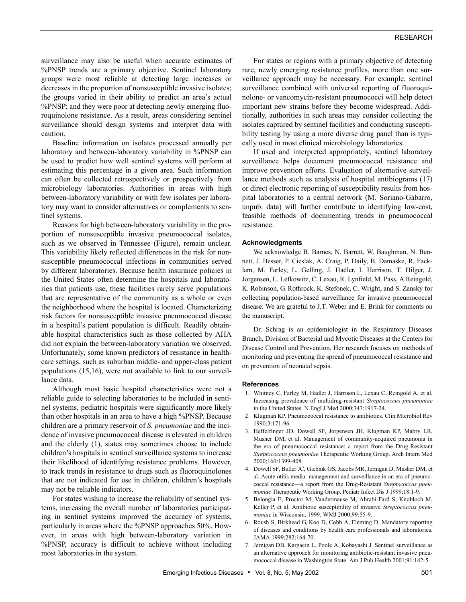surveillance may also be useful when accurate estimates of %PNSP trends are a primary objective. Sentinel laboratory groups were most reliable at detecting large increases or decreases in the proportion of nonsusceptible invasive isolates; the groups varied in their ability to predict an area's actual %PNSP; and they were poor at detecting newly emerging fluoroquinolone resistance. As a result, areas considering sentinel surveillance should design systems and interpret data with caution.

Baseline information on isolates processed annually per laboratory and between-laboratory variability in %PNSP can be used to predict how well sentinel systems will perform at estimating this percentage in a given area. Such information can often be collected retrospectively or prospectively from microbiology laboratories. Authorities in areas with high between-laboratory variability or with few isolates per laboratory may want to consider alternatives or complements to sentinel systems.

Reasons for high between-laboratory variability in the proportion of nonsusceptible invasive pneumococcal isolates, such as we observed in Tennessee (Figure), remain unclear. This variability likely reflected differences in the risk for nonsusceptible pneumococcal infections in communities served by different laboratories. Because health insurance policies in the United States often determine the hospitals and laboratories that patients use, these facilities rarely serve populations that are representative of the community as a whole or even the neighborhood where the hospital is located. Characterizing risk factors for nonsusceptible invasive pneumococcal disease in a hospital's patient population is difficult. Readily obtainable hospital characteristics such as those collected by AHA did not explain the between-laboratory variation we observed. Unfortunately, some known predictors of resistance in healthcare settings, such as suburban middle- and upper-class patient populations (15,16), were not available to link to our surveillance data.

Although most basic hospital characteristics were not a reliable guide to selecting laboratories to be included in sentinel systems, pediatric hospitals were significantly more likely than other hospitals in an area to have a high %PNSP. Because children are a primary reservoir of *S. pneumoniae* and the incidence of invasive pneumococcal disease is elevated in children and the elderly (1), states may sometimes choose to include children's hospitals in sentinel surveillance systems to increase their likelihood of identifying resistance problems. However, to track trends in resistance to drugs such as fluoroquinolones that are not indicated for use in children, children's hospitals may not be reliable indicators.

For states wishing to increase the reliability of sentinel systems, increasing the overall number of laboratories participating in sentinel systems improved the accuracy of systems, particularly in areas where the %PNSP approaches 50%. However, in areas with high between-laboratory variation in %PNSP, accuracy is difficult to achieve without including most laboratories in the system.

For states or regions with a primary objective of detecting rare, newly emerging resistance profiles, more than one surveillance approach may be necessary. For example, sentinel surveillance combined with universal reporting of fluoroquinolone- or vancomycin-resistant pneumococci will help detect important new strains before they become widespread. Additionally, authorities in such areas may consider collecting the isolates captured by sentinel facilities and conducting susceptibility testing by using a more diverse drug panel than is typically used in most clinical microbiology laboratories.

If used and interpreted appropriately, sentinel laboratory surveillance helps document pneumococcal resistance and improve prevention efforts. Evaluation of alternative surveillance methods such as analysis of hospital antibiograms (17) or direct electronic reporting of susceptibility results from hospital laboratories to a central network (M. Soriano-Gabarro, unpub. data) will further contribute to identifying low-cost, feasible methods of documenting trends in pneumococcal resistance.

#### **Acknowledgments**

We acknowledge B. Barnes, N. Barrett, W. Baughman, N. Bennett, J. Besser, P. Cieslak, A. Craig, P. Daily, B. Damaske, R. Facklam, M. Farley, L. Gelling, J. Hadler, L Harrison, T. Hilger, J. Jorgensen, L. Lefkowitz, C. Lexau, R. Lynfield, M. Pass, A Reingold, K. Robinson, G. Rothrock, K. Stefonek, C. Wright, and S. Zansky for collecting population-based surveillance for invasive pneumococcal disease. We are grateful to J.T. Weber and E. Brink for comments on the manuscript.

Dr. Schrag is an epidemiologist in the Respiratory Diseases Branch, Division of Bacterial and Mycotic Diseases at the Centers for Disease Control and Prevention. Her research focuses on methods of monitoring and preventing the spread of pneumococcal resistance and on prevention of neonatal sepsis.

#### **References**

- 1. Whitney C, Farley M, Hadler J, Harrison L, Lexau C, Reingold A, et al. Increasing prevalence of multidrug-resistant *Streptococcus pneumoniae* in the United States. N Engl J Med 2000;343:1917-24.
- 2. Klugman KP. Pneumococcal resistance to antibiotics. Clin Microbiol Rev 1990;3:171-96.
- 3. Heffelfinger JD, Dowell SF, Jorgensen JH, Klugman KP, Mabry LR, Musher DM, et al. Management of community-acquired pneumonia in the era of pneumococcal resistance: a report from the Drug-Resistant *Streptococcus pneumoniae* Therapeutic Working Group. Arch Intern Med 2000;160:1399-408.
- 4. Dowell SF, Butler JC, Giebink GS, Jacobs MR, Jernigan D, Musher DM, et al. Acute otitis media: management and surveillance in an era of pneumococcal resistance—a report from the Drug-Resistant *Streptococcus pneumoniae* Therapeutic Working Group. Pediatr Infect Dis J 1999;18:1-9.
- 5. Belongia E, Proctor M, Vandermause M, Ahrabi-Fard S, Knobloch M, Keller P, et al. Antibiotic susceptibility of invasive *Streptococcus pneumoniae* in Wisconsin, 1999. WMJ 2000;99:55-9.
- 6. Roush S, Birkhead G, Koo D, Cobb A, Fleming D. Mandatory reporting of diseases and conditions by health care professionals and laboratories. JAMA 1999;282:164-70.
- 7. Jernigan DB, Kargacin L, Poole A, Kobayashi J. Sentinel surveillance as an alternative approach for monitoring antibiotic-resistant invasive pneumococcal disease in Washington State. Am J Pub Health 2001;91:142-5.